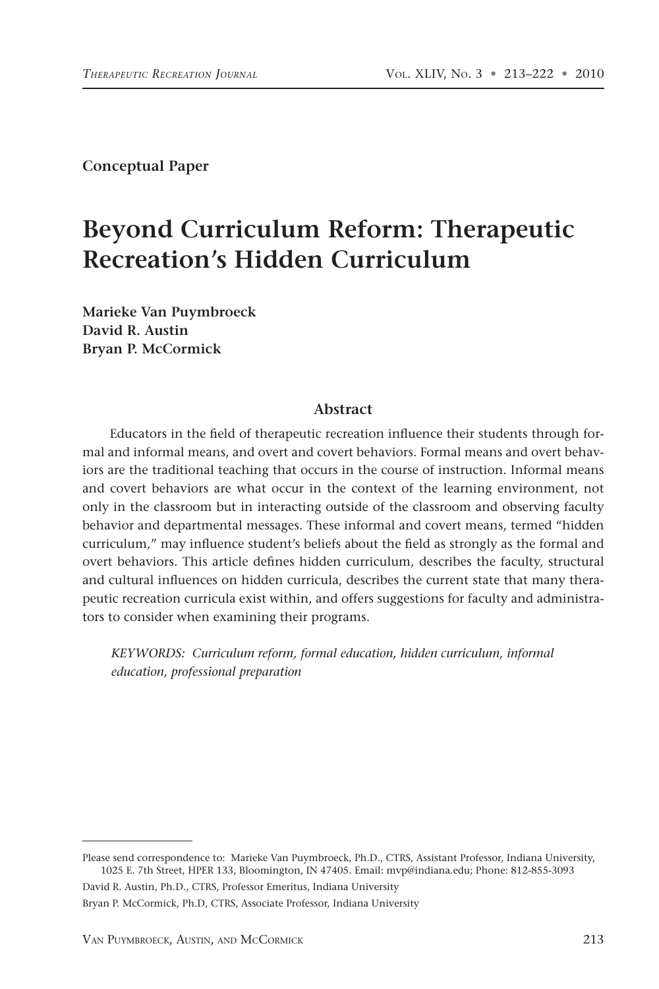**Conceptual Paper**

# **Beyond Curriculum Reform: Therapeutic Recreation's Hidden Curriculum**

**Marieke Van Puymbroeck David R. Austin Bryan P. McCormick**

#### **Abstract**

Educators in the field of therapeutic recreation influence their students through formal and informal means, and overt and covert behaviors. Formal means and overt behaviors are the traditional teaching that occurs in the course of instruction. Informal means and covert behaviors are what occur in the context of the learning environment, not only in the classroom but in interacting outside of the classroom and observing faculty behavior and departmental messages. These informal and covert means, termed "hidden curriculum," may influence student's beliefs about the field as strongly as the formal and overt behaviors. This article defines hidden curriculum, describes the faculty, structural and cultural influences on hidden curricula, describes the current state that many therapeutic recreation curricula exist within, and offers suggestions for faculty and administrators to consider when examining their programs.

*KEYWORDS: Curriculum reform, formal education, hidden curriculum, informal education, professional preparation*

David R. Austin, Ph.D., CTRS, Professor Emeritus, Indiana University Bryan P. McCormick, Ph.D, CTRS, Associate Professor, Indiana University

Please send correspondence to: Marieke Van Puymbroeck, Ph.D., CTRS, Assistant Professor, Indiana University, 1025 E. 7th Street, HPER 133, Bloomington, IN 47405. Email: mvp@indiana.edu; Phone: 812-855-3093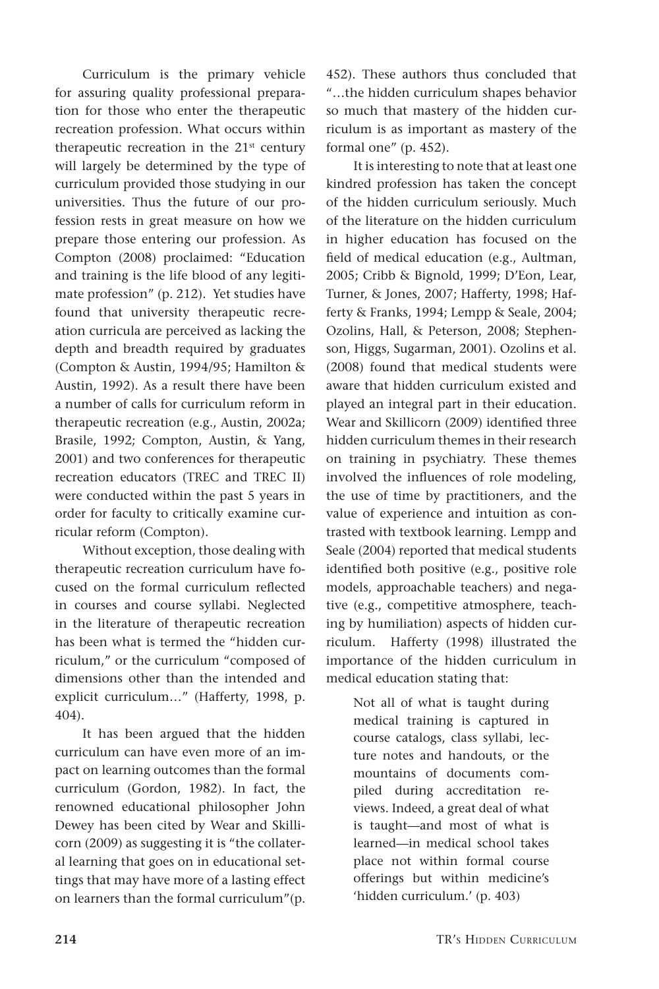Curriculum is the primary vehicle for assuring quality professional preparation for those who enter the therapeutic recreation profession. What occurs within therapeutic recreation in the  $21<sup>st</sup>$  century will largely be determined by the type of curriculum provided those studying in our universities. Thus the future of our profession rests in great measure on how we prepare those entering our profession. As Compton (2008) proclaimed: "Education and training is the life blood of any legitimate profession" (p. 212). Yet studies have found that university therapeutic recreation curricula are perceived as lacking the depth and breadth required by graduates (Compton & Austin, 1994/95; Hamilton & Austin, 1992). As a result there have been a number of calls for curriculum reform in therapeutic recreation (e.g., Austin, 2002a; Brasile, 1992; Compton, Austin, & Yang, 2001) and two conferences for therapeutic recreation educators (TREC and TREC II) were conducted within the past 5 years in order for faculty to critically examine curricular reform (Compton).

Without exception, those dealing with therapeutic recreation curriculum have focused on the formal curriculum reflected in courses and course syllabi. Neglected in the literature of therapeutic recreation has been what is termed the "hidden curriculum," or the curriculum "composed of dimensions other than the intended and explicit curriculum…" (Hafferty, 1998, p. 404).

It has been argued that the hidden curriculum can have even more of an impact on learning outcomes than the formal curriculum (Gordon, 1982). In fact, the renowned educational philosopher John Dewey has been cited by Wear and Skillicorn (2009) as suggesting it is "the collateral learning that goes on in educational settings that may have more of a lasting effect on learners than the formal curriculum"(p. 452). These authors thus concluded that "…the hidden curriculum shapes behavior so much that mastery of the hidden curriculum is as important as mastery of the formal one" (p. 452).

It is interesting to note that at least one kindred profession has taken the concept of the hidden curriculum seriously. Much of the literature on the hidden curriculum in higher education has focused on the field of medical education (e.g., Aultman, 2005; Cribb & Bignold, 1999; D'Eon, Lear, Turner, & Jones, 2007; Hafferty, 1998; Hafferty & Franks, 1994; Lempp & Seale, 2004; Ozolins, Hall, & Peterson, 2008; Stephenson, Higgs, Sugarman, 2001). Ozolins et al. (2008) found that medical students were aware that hidden curriculum existed and played an integral part in their education. Wear and Skillicorn (2009) identified three hidden curriculum themes in their research on training in psychiatry. These themes involved the influences of role modeling, the use of time by practitioners, and the value of experience and intuition as contrasted with textbook learning. Lempp and Seale (2004) reported that medical students identified both positive (e.g., positive role models, approachable teachers) and negative (e.g., competitive atmosphere, teaching by humiliation) aspects of hidden curriculum. Hafferty (1998) illustrated the importance of the hidden curriculum in medical education stating that:

> Not all of what is taught during medical training is captured in course catalogs, class syllabi, lecture notes and handouts, or the mountains of documents compiled during accreditation reviews. Indeed, a great deal of what is taught—and most of what is learned—in medical school takes place not within formal course offerings but within medicine's 'hidden curriculum.' (p. 403)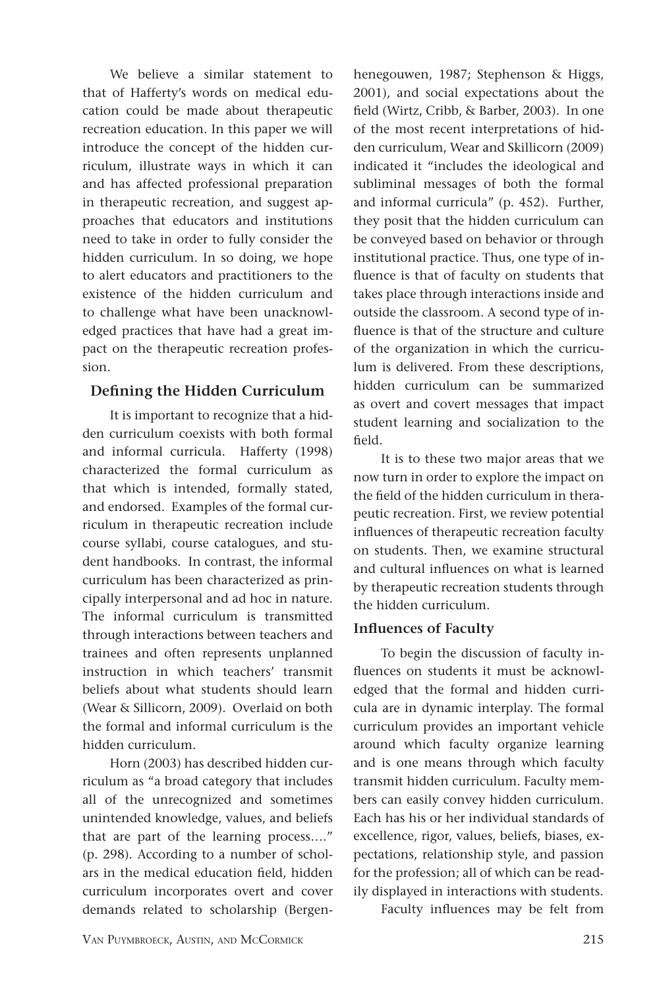We believe a similar statement to that of Hafferty's words on medical education could be made about therapeutic recreation education. In this paper we will introduce the concept of the hidden curriculum, illustrate ways in which it can and has affected professional preparation in therapeutic recreation, and suggest approaches that educators and institutions need to take in order to fully consider the hidden curriculum. In so doing, we hope to alert educators and practitioners to the existence of the hidden curriculum and to challenge what have been unacknowledged practices that have had a great impact on the therapeutic recreation profession.

## **Defining the Hidden Curriculum**

It is important to recognize that a hidden curriculum coexists with both formal and informal curricula. Hafferty (1998) characterized the formal curriculum as that which is intended, formally stated, and endorsed. Examples of the formal curriculum in therapeutic recreation include course syllabi, course catalogues, and student handbooks. In contrast, the informal curriculum has been characterized as principally interpersonal and ad hoc in nature. The informal curriculum is transmitted through interactions between teachers and trainees and often represents unplanned instruction in which teachers' transmit beliefs about what students should learn (Wear & Sillicorn, 2009). Overlaid on both the formal and informal curriculum is the hidden curriculum.

Horn (2003) has described hidden curriculum as "a broad category that includes all of the unrecognized and sometimes unintended knowledge, values, and beliefs that are part of the learning process…." (p. 298). According to a number of scholars in the medical education field, hidden curriculum incorporates overt and cover demands related to scholarship (Bergenhenegouwen, 1987; Stephenson & Higgs, 2001), and social expectations about the field (Wirtz, Cribb, & Barber, 2003). In one of the most recent interpretations of hidden curriculum, Wear and Skillicorn (2009) indicated it "includes the ideological and subliminal messages of both the formal and informal curricula" (p. 452). Further, they posit that the hidden curriculum can be conveyed based on behavior or through institutional practice. Thus, one type of influence is that of faculty on students that takes place through interactions inside and outside the classroom. A second type of influence is that of the structure and culture of the organization in which the curriculum is delivered. From these descriptions, hidden curriculum can be summarized as overt and covert messages that impact student learning and socialization to the field.

It is to these two major areas that we now turn in order to explore the impact on the field of the hidden curriculum in therapeutic recreation. First, we review potential influences of therapeutic recreation faculty on students. Then, we examine structural and cultural influences on what is learned by therapeutic recreation students through the hidden curriculum.

### **Influences of Faculty**

To begin the discussion of faculty influences on students it must be acknowledged that the formal and hidden curricula are in dynamic interplay. The formal curriculum provides an important vehicle around which faculty organize learning and is one means through which faculty transmit hidden curriculum. Faculty members can easily convey hidden curriculum. Each has his or her individual standards of excellence, rigor, values, beliefs, biases, expectations, relationship style, and passion for the profession; all of which can be readily displayed in interactions with students.

Faculty influences may be felt from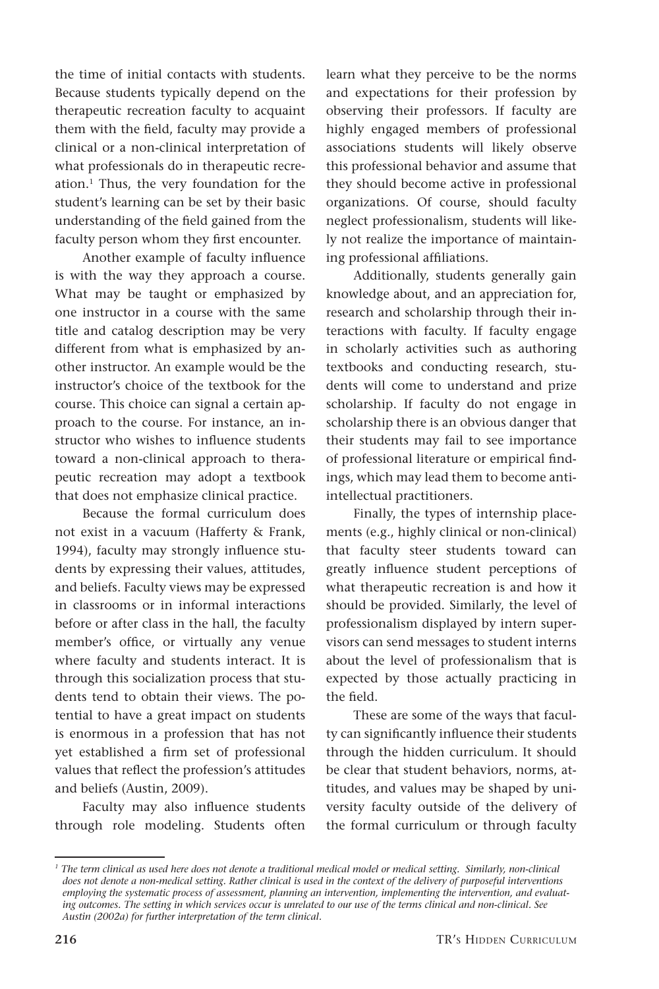the time of initial contacts with students. Because students typically depend on the therapeutic recreation faculty to acquaint them with the field, faculty may provide a clinical or a non-clinical interpretation of what professionals do in therapeutic recreation.1 Thus, the very foundation for the student's learning can be set by their basic understanding of the field gained from the faculty person whom they first encounter.

Another example of faculty influence is with the way they approach a course. What may be taught or emphasized by one instructor in a course with the same title and catalog description may be very different from what is emphasized by another instructor. An example would be the instructor's choice of the textbook for the course. This choice can signal a certain approach to the course. For instance, an instructor who wishes to influence students toward a non-clinical approach to therapeutic recreation may adopt a textbook that does not emphasize clinical practice.

Because the formal curriculum does not exist in a vacuum (Hafferty & Frank, 1994), faculty may strongly influence students by expressing their values, attitudes, and beliefs. Faculty views may be expressed in classrooms or in informal interactions before or after class in the hall, the faculty member's office, or virtually any venue where faculty and students interact. It is through this socialization process that students tend to obtain their views. The potential to have a great impact on students is enormous in a profession that has not yet established a firm set of professional values that reflect the profession's attitudes and beliefs (Austin, 2009).

Faculty may also influence students through role modeling. Students often learn what they perceive to be the norms and expectations for their profession by observing their professors. If faculty are highly engaged members of professional associations students will likely observe this professional behavior and assume that they should become active in professional organizations. Of course, should faculty neglect professionalism, students will likely not realize the importance of maintaining professional affiliations.

Additionally, students generally gain knowledge about, and an appreciation for, research and scholarship through their interactions with faculty. If faculty engage in scholarly activities such as authoring textbooks and conducting research, students will come to understand and prize scholarship. If faculty do not engage in scholarship there is an obvious danger that their students may fail to see importance of professional literature or empirical findings, which may lead them to become antiintellectual practitioners.

Finally, the types of internship placements (e.g., highly clinical or non-clinical) that faculty steer students toward can greatly influence student perceptions of what therapeutic recreation is and how it should be provided. Similarly, the level of professionalism displayed by intern supervisors can send messages to student interns about the level of professionalism that is expected by those actually practicing in the field.

These are some of the ways that faculty can significantly influence their students through the hidden curriculum. It should be clear that student behaviors, norms, attitudes, and values may be shaped by university faculty outside of the delivery of the formal curriculum or through faculty

*<sup>1</sup> The term clinical as used here does not denote a traditional medical model or medical setting. Similarly, non-clinical does not denote a non-medical setting. Rather clinical is used in the context of the delivery of purposeful interventions employing the systematic process of assessment, planning an intervention, implementing the intervention, and evaluating outcomes. The setting in which services occur is unrelated to our use of the terms clinical and non-clinical. See Austin (2002a) for further interpretation of the term clinical.*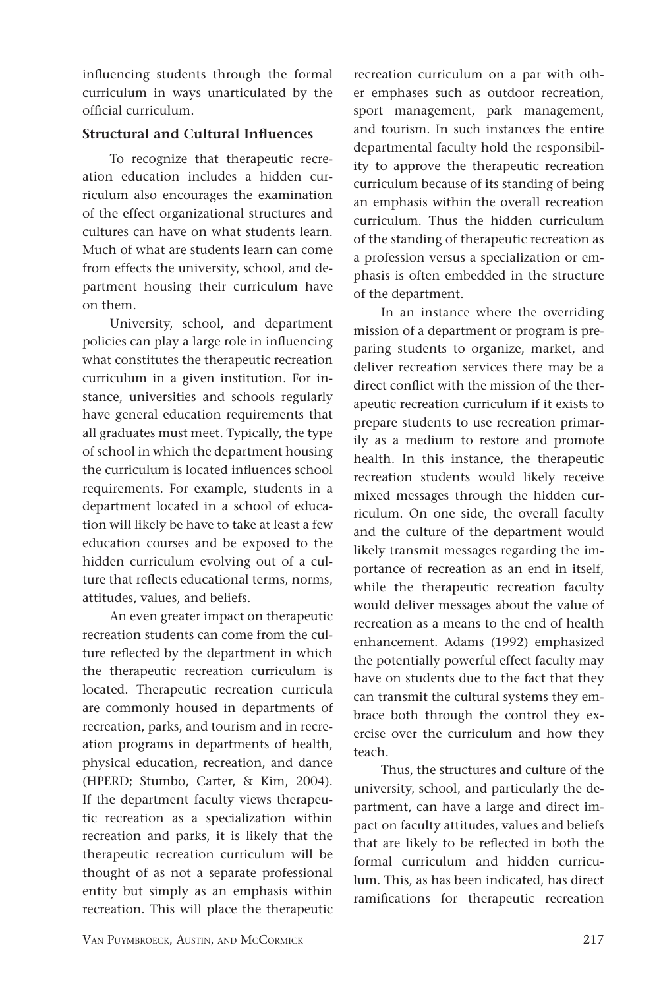influencing students through the formal curriculum in ways unarticulated by the official curriculum.

## **Structural and Cultural Influences**

To recognize that therapeutic recreation education includes a hidden curriculum also encourages the examination of the effect organizational structures and cultures can have on what students learn. Much of what are students learn can come from effects the university, school, and department housing their curriculum have on them.

University, school, and department policies can play a large role in influencing what constitutes the therapeutic recreation curriculum in a given institution. For instance, universities and schools regularly have general education requirements that all graduates must meet. Typically, the type of school in which the department housing the curriculum is located influences school requirements. For example, students in a department located in a school of education will likely be have to take at least a few education courses and be exposed to the hidden curriculum evolving out of a culture that reflects educational terms, norms, attitudes, values, and beliefs.

An even greater impact on therapeutic recreation students can come from the culture reflected by the department in which the therapeutic recreation curriculum is located. Therapeutic recreation curricula are commonly housed in departments of recreation, parks, and tourism and in recreation programs in departments of health, physical education, recreation, and dance (HPERD; Stumbo, Carter, & Kim, 2004). If the department faculty views therapeutic recreation as a specialization within recreation and parks, it is likely that the therapeutic recreation curriculum will be thought of as not a separate professional entity but simply as an emphasis within recreation. This will place the therapeutic recreation curriculum on a par with other emphases such as outdoor recreation, sport management, park management, and tourism. In such instances the entire departmental faculty hold the responsibility to approve the therapeutic recreation curriculum because of its standing of being an emphasis within the overall recreation curriculum. Thus the hidden curriculum of the standing of therapeutic recreation as a profession versus a specialization or emphasis is often embedded in the structure of the department.

In an instance where the overriding mission of a department or program is preparing students to organize, market, and deliver recreation services there may be a direct conflict with the mission of the therapeutic recreation curriculum if it exists to prepare students to use recreation primarily as a medium to restore and promote health. In this instance, the therapeutic recreation students would likely receive mixed messages through the hidden curriculum. On one side, the overall faculty and the culture of the department would likely transmit messages regarding the importance of recreation as an end in itself, while the therapeutic recreation faculty would deliver messages about the value of recreation as a means to the end of health enhancement. Adams (1992) emphasized the potentially powerful effect faculty may have on students due to the fact that they can transmit the cultural systems they embrace both through the control they exercise over the curriculum and how they teach.

Thus, the structures and culture of the university, school, and particularly the department, can have a large and direct impact on faculty attitudes, values and beliefs that are likely to be reflected in both the formal curriculum and hidden curriculum. This, as has been indicated, has direct ramifications for therapeutic recreation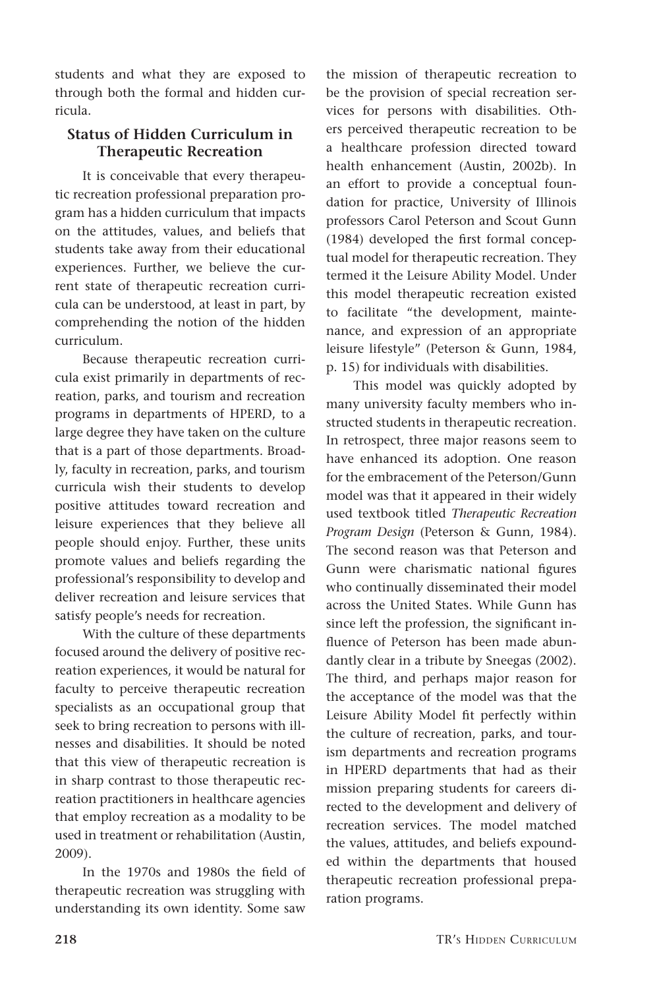students and what they are exposed to through both the formal and hidden curricula.

# **Status of Hidden Curriculum in Therapeutic Recreation**

It is conceivable that every therapeutic recreation professional preparation program has a hidden curriculum that impacts on the attitudes, values, and beliefs that students take away from their educational experiences. Further, we believe the current state of therapeutic recreation curricula can be understood, at least in part, by comprehending the notion of the hidden curriculum.

Because therapeutic recreation curricula exist primarily in departments of recreation, parks, and tourism and recreation programs in departments of HPERD, to a large degree they have taken on the culture that is a part of those departments. Broadly, faculty in recreation, parks, and tourism curricula wish their students to develop positive attitudes toward recreation and leisure experiences that they believe all people should enjoy. Further, these units promote values and beliefs regarding the professional's responsibility to develop and deliver recreation and leisure services that satisfy people's needs for recreation.

With the culture of these departments focused around the delivery of positive recreation experiences, it would be natural for faculty to perceive therapeutic recreation specialists as an occupational group that seek to bring recreation to persons with illnesses and disabilities. It should be noted that this view of therapeutic recreation is in sharp contrast to those therapeutic recreation practitioners in healthcare agencies that employ recreation as a modality to be used in treatment or rehabilitation (Austin, 2009).

In the 1970s and 1980s the field of therapeutic recreation was struggling with understanding its own identity. Some saw the mission of therapeutic recreation to be the provision of special recreation services for persons with disabilities. Others perceived therapeutic recreation to be a healthcare profession directed toward health enhancement (Austin, 2002b). In an effort to provide a conceptual foundation for practice, University of Illinois professors Carol Peterson and Scout Gunn (1984) developed the first formal conceptual model for therapeutic recreation. They termed it the Leisure Ability Model. Under this model therapeutic recreation existed to facilitate "the development, maintenance, and expression of an appropriate leisure lifestyle" (Peterson & Gunn, 1984, p. 15) for individuals with disabilities.

This model was quickly adopted by many university faculty members who instructed students in therapeutic recreation. In retrospect, three major reasons seem to have enhanced its adoption. One reason for the embracement of the Peterson/Gunn model was that it appeared in their widely used textbook titled *Therapeutic Recreation Program Design* (Peterson & Gunn, 1984). The second reason was that Peterson and Gunn were charismatic national figures who continually disseminated their model across the United States. While Gunn has since left the profession, the significant influence of Peterson has been made abundantly clear in a tribute by Sneegas (2002). The third, and perhaps major reason for the acceptance of the model was that the Leisure Ability Model fit perfectly within the culture of recreation, parks, and tourism departments and recreation programs in HPERD departments that had as their mission preparing students for careers directed to the development and delivery of recreation services. The model matched the values, attitudes, and beliefs expounded within the departments that housed therapeutic recreation professional preparation programs.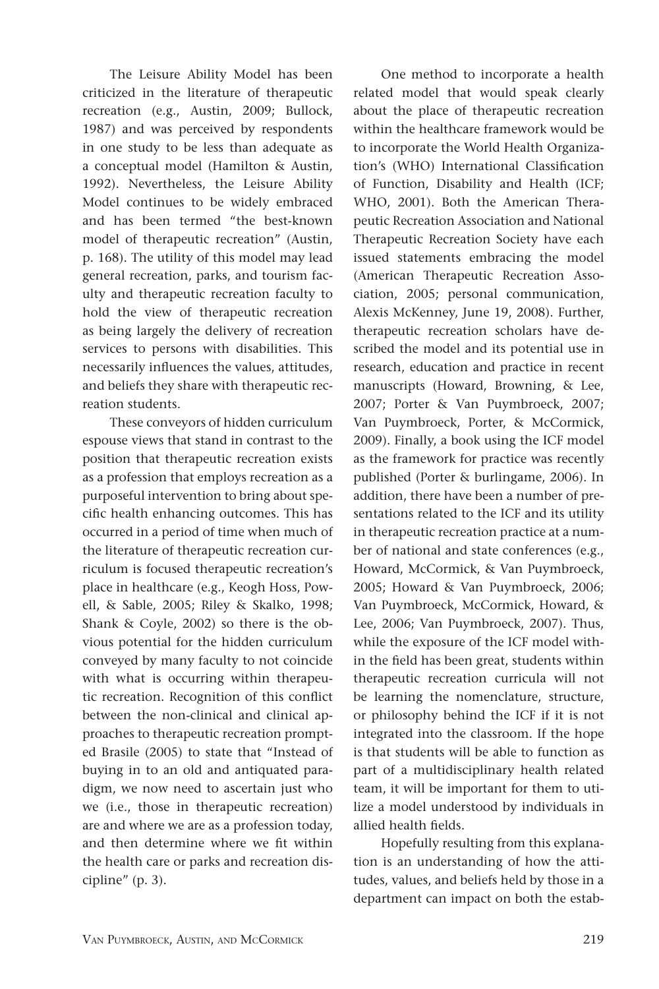The Leisure Ability Model has been criticized in the literature of therapeutic recreation (e.g., Austin, 2009; Bullock, 1987) and was perceived by respondents in one study to be less than adequate as a conceptual model (Hamilton & Austin, 1992). Nevertheless, the Leisure Ability Model continues to be widely embraced and has been termed "the best-known model of therapeutic recreation" (Austin, p. 168). The utility of this model may lead general recreation, parks, and tourism faculty and therapeutic recreation faculty to hold the view of therapeutic recreation as being largely the delivery of recreation services to persons with disabilities. This necessarily influences the values, attitudes, and beliefs they share with therapeutic recreation students.

These conveyors of hidden curriculum espouse views that stand in contrast to the position that therapeutic recreation exists as a profession that employs recreation as a purposeful intervention to bring about specific health enhancing outcomes. This has occurred in a period of time when much of the literature of therapeutic recreation curriculum is focused therapeutic recreation's place in healthcare (e.g., Keogh Hoss, Powell, & Sable, 2005; Riley & Skalko, 1998; Shank & Coyle, 2002) so there is the obvious potential for the hidden curriculum conveyed by many faculty to not coincide with what is occurring within therapeutic recreation. Recognition of this conflict between the non-clinical and clinical approaches to therapeutic recreation prompted Brasile (2005) to state that "Instead of buying in to an old and antiquated paradigm, we now need to ascertain just who we (i.e., those in therapeutic recreation) are and where we are as a profession today, and then determine where we fit within the health care or parks and recreation discipline" (p. 3).

One method to incorporate a health related model that would speak clearly about the place of therapeutic recreation within the healthcare framework would be to incorporate the World Health Organization's (WHO) International Classification of Function, Disability and Health (ICF; WHO, 2001). Both the American Therapeutic Recreation Association and National Therapeutic Recreation Society have each issued statements embracing the model (American Therapeutic Recreation Association, 2005; personal communication, Alexis McKenney, June 19, 2008). Further, therapeutic recreation scholars have described the model and its potential use in research, education and practice in recent manuscripts (Howard, Browning, & Lee, 2007; Porter & Van Puymbroeck, 2007; Van Puymbroeck, Porter, & McCormick, 2009). Finally, a book using the ICF model as the framework for practice was recently published (Porter & burlingame, 2006). In addition, there have been a number of presentations related to the ICF and its utility in therapeutic recreation practice at a number of national and state conferences (e.g., Howard, McCormick, & Van Puymbroeck, 2005; Howard & Van Puymbroeck, 2006; Van Puymbroeck, McCormick, Howard, & Lee, 2006; Van Puymbroeck, 2007). Thus, while the exposure of the ICF model within the field has been great, students within therapeutic recreation curricula will not be learning the nomenclature, structure, or philosophy behind the ICF if it is not integrated into the classroom. If the hope is that students will be able to function as part of a multidisciplinary health related team, it will be important for them to utilize a model understood by individuals in allied health fields.

Hopefully resulting from this explanation is an understanding of how the attitudes, values, and beliefs held by those in a department can impact on both the estab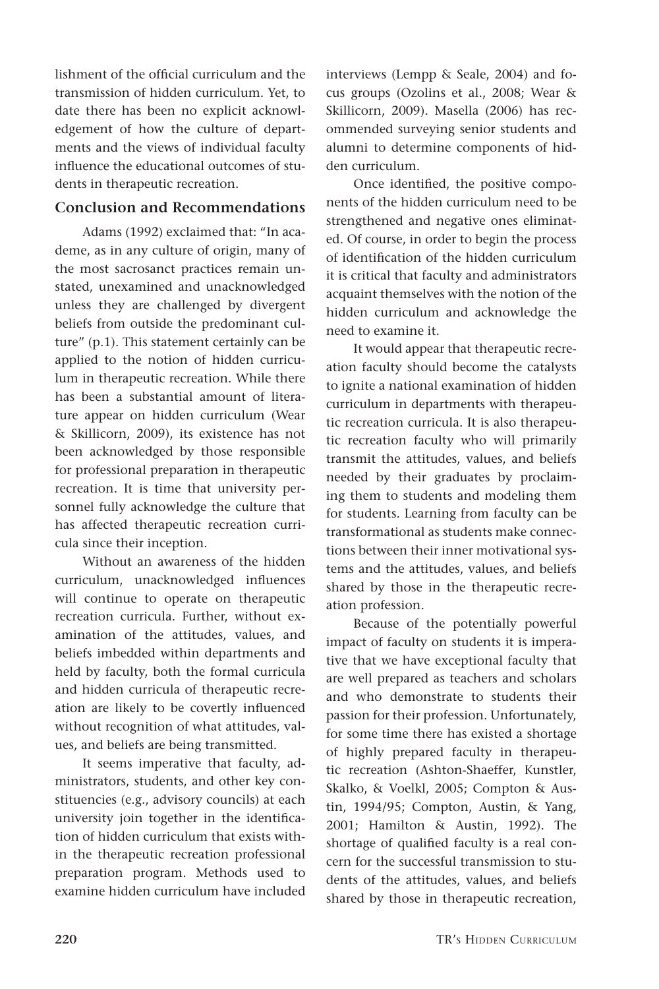lishment of the official curriculum and the transmission of hidden curriculum. Yet, to date there has been no explicit acknowledgement of how the culture of departments and the views of individual faculty influence the educational outcomes of students in therapeutic recreation.

#### **Conclusion and Recommendations**

Adams (1992) exclaimed that: "In academe, as in any culture of origin, many of the most sacrosanct practices remain unstated, unexamined and unacknowledged unless they are challenged by divergent beliefs from outside the predominant culture" (p.1). This statement certainly can be applied to the notion of hidden curriculum in therapeutic recreation. While there has been a substantial amount of literature appear on hidden curriculum (Wear & Skillicorn, 2009), its existence has not been acknowledged by those responsible for professional preparation in therapeutic recreation. It is time that university personnel fully acknowledge the culture that has affected therapeutic recreation curricula since their inception.

Without an awareness of the hidden curriculum, unacknowledged influences will continue to operate on therapeutic recreation curricula. Further, without examination of the attitudes, values, and beliefs imbedded within departments and held by faculty, both the formal curricula and hidden curricula of therapeutic recreation are likely to be covertly influenced without recognition of what attitudes, values, and beliefs are being transmitted.

It seems imperative that faculty, administrators, students, and other key constituencies (e.g., advisory councils) at each university join together in the identification of hidden curriculum that exists within the therapeutic recreation professional preparation program. Methods used to examine hidden curriculum have included interviews (Lempp & Seale, 2004) and focus groups (Ozolins et al., 2008; Wear & Skillicorn, 2009). Masella (2006) has recommended surveying senior students and alumni to determine components of hidden curriculum.

Once identified, the positive components of the hidden curriculum need to be strengthened and negative ones eliminated. Of course, in order to begin the process of identification of the hidden curriculum it is critical that faculty and administrators acquaint themselves with the notion of the hidden curriculum and acknowledge the need to examine it.

It would appear that therapeutic recreation faculty should become the catalysts to ignite a national examination of hidden curriculum in departments with therapeutic recreation curricula. It is also therapeutic recreation faculty who will primarily transmit the attitudes, values, and beliefs needed by their graduates by proclaiming them to students and modeling them for students. Learning from faculty can be transformational as students make connections between their inner motivational systems and the attitudes, values, and beliefs shared by those in the therapeutic recreation profession.

Because of the potentially powerful impact of faculty on students it is imperative that we have exceptional faculty that are well prepared as teachers and scholars and who demonstrate to students their passion for their profession. Unfortunately, for some time there has existed a shortage of highly prepared faculty in therapeutic recreation (Ashton-Shaeffer, Kunstler, Skalko, & Voelkl, 2005; Compton & Austin, 1994/95; Compton, Austin, & Yang, 2001; Hamilton & Austin, 1992). The shortage of qualified faculty is a real concern for the successful transmission to students of the attitudes, values, and beliefs shared by those in therapeutic recreation,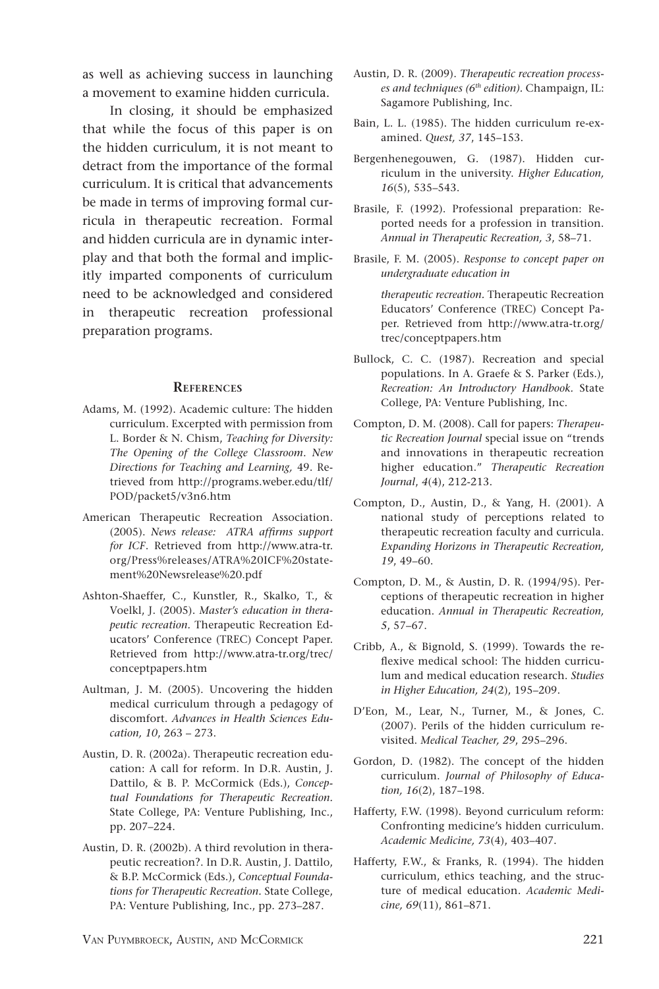as well as achieving success in launching a movement to examine hidden curricula.

In closing, it should be emphasized that while the focus of this paper is on the hidden curriculum, it is not meant to detract from the importance of the formal curriculum. It is critical that advancements be made in terms of improving formal curricula in therapeutic recreation. Formal and hidden curricula are in dynamic interplay and that both the formal and implicitly imparted components of curriculum need to be acknowledged and considered in therapeutic recreation professional preparation programs.

#### **References**

- Adams, M. (1992). Academic culture: The hidden curriculum. Excerpted with permission from L. Border & N. Chism, *Teaching for Diversity: The Opening of the College Classroom*. *New Directions for Teaching and Learning,* 49. Retrieved from http://programs.weber.edu/tlf/ POD/packet5/v3n6.htm
- American Therapeutic Recreation Association. (2005). *News release: ATRA affirms support for ICF*. Retrieved from http://www.atra-tr. org/Press%releases/ATRA%20ICF%20statement%20Newsrelease%20.pdf
- Ashton-Shaeffer, C., Kunstler, R., Skalko, T., & Voelkl, J. (2005). *Master's education in therapeutic recreation.* Therapeutic Recreation Educators' Conference (TREC) Concept Paper. Retrieved from http://www.atra-tr.org/trec/ conceptpapers.htm
- Aultman, J. M. (2005). Uncovering the hidden medical curriculum through a pedagogy of discomfort. *Advances in Health Sciences Education, 10*, 263 – 273.
- Austin, D. R. (2002a). Therapeutic recreation education: A call for reform. In D.R. Austin, J. Dattilo, & B. P. McCormick (Eds.), *Conceptual Foundations for Therapeutic Recreation.*  State College, PA: Venture Publishing, Inc., pp. 207–224.
- Austin, D. R. (2002b). A third revolution in therapeutic recreation?. In D.R. Austin, J. Dattilo, & B.P. McCormick (Eds.), *Conceptual Foundations for Therapeutic Recreation.* State College, PA: Venture Publishing, Inc., pp. 273–287.
- Austin, D. R. (2009). *Therapeutic recreation processes and techniques (6th edition).* Champaign, IL: Sagamore Publishing, Inc.
- Bain, L. L. (1985). The hidden curriculum re-examined. *Quest, 37*, 145–153.
- Bergenhenegouwen, G. (1987). Hidden curriculum in the university. *Higher Education, 16*(5), 535–543.
- Brasile, F. (1992). Professional preparation: Reported needs for a profession in transition. *Annual in Therapeutic Recreation, 3*, 58–71.
- Brasile, F. M. (2005). *Response to concept paper on undergraduate education in*

*therapeutic recreation.* Therapeutic Recreation Educators' Conference (TREC) Concept Paper. Retrieved from http://www.atra-tr.org/ trec/conceptpapers.htm

- Bullock, C. C. (1987). Recreation and special populations. In A. Graefe & S. Parker (Eds.), *Recreation: An Introductory Handbook.* State College, PA: Venture Publishing, Inc.
- Compton, D. M. (2008). Call for papers: *Therapeutic Recreation Journal* special issue on "trends and innovations in therapeutic recreation higher education." *Therapeutic Recreation Journal*, *4*(4), 212-213.
- Compton, D., Austin, D., & Yang, H. (2001). A national study of perceptions related to therapeutic recreation faculty and curricula. *Expanding Horizons in Therapeutic Recreation, 19*, 49–60.
- Compton, D. M., & Austin, D. R. (1994/95). Perceptions of therapeutic recreation in higher education. *Annual in Therapeutic Recreation, 5*, 57–67.
- Cribb, A., & Bignold, S. (1999). Towards the reflexive medical school: The hidden curriculum and medical education research. *Studies in Higher Education, 24*(2), 195–209.
- D'Eon, M., Lear, N., Turner, M., & Jones, C. (2007). Perils of the hidden curriculum revisited. *Medical Teacher, 29*, 295–296.
- Gordon, D. (1982). The concept of the hidden curriculum. *Journal of Philosophy of Education, 16*(2), 187–198.
- Hafferty, F.W. (1998). Beyond curriculum reform: Confronting medicine's hidden curriculum. *Academic Medicine, 73*(4), 403–407.
- Hafferty, F.W., & Franks, R. (1994). The hidden curriculum, ethics teaching, and the structure of medical education. *Academic Medicine, 69*(11), 861–871.